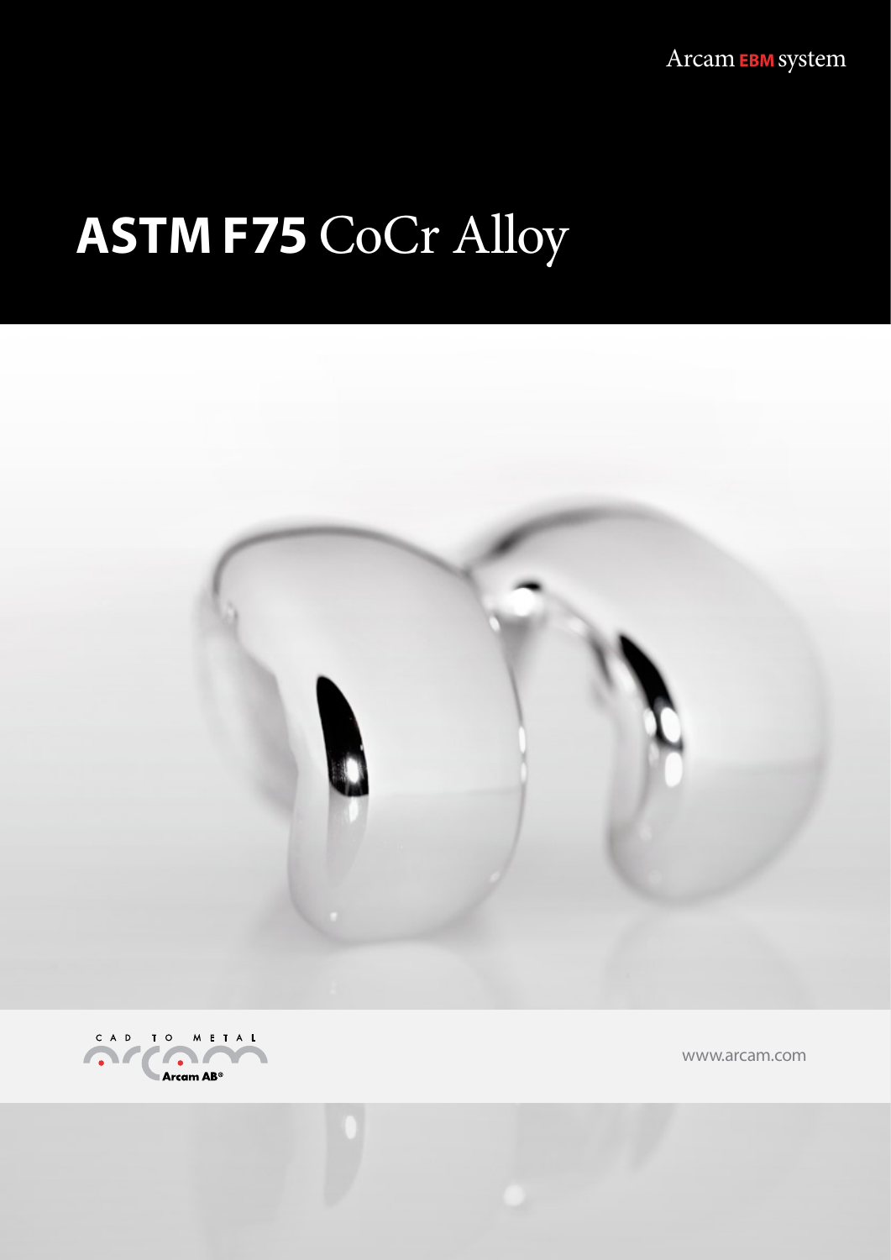Arcam**EBM** system Arcam**EBM** system

## $\Delta$ STM E75  $C_{\Omega}C_{\Gamma}$  Allo **ASTM F75** CoCr Alloy





www.arcam.com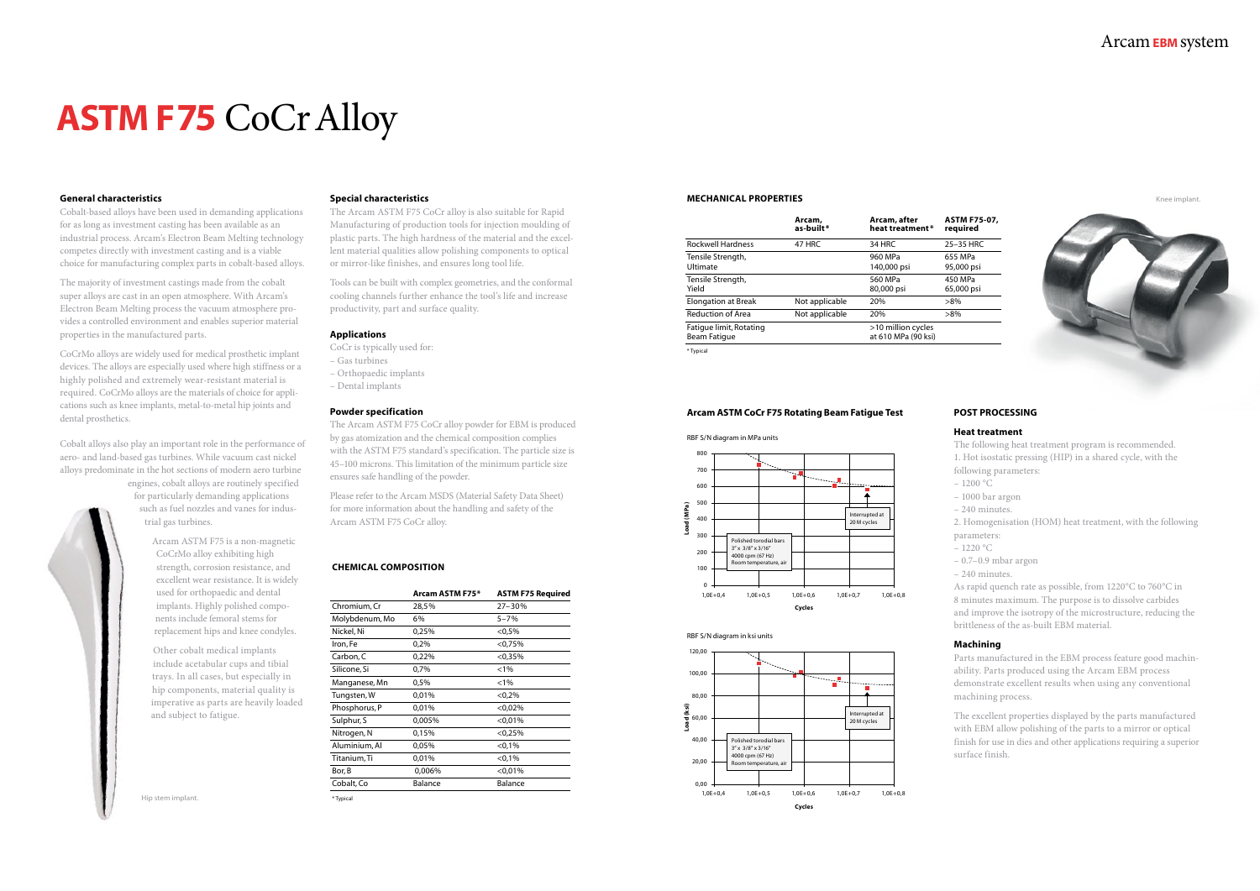#### **General characteristics**

Cobalt-based alloys have been used in demanding applications for as long as investment casting has been available as an industrial process. Arcam's Electron Beam Melting technology competes directly with investment casting and is a viable choice for manufacturing complex parts in cobalt-based alloys.

The majority of investment castings made from the cobalt super alloys are cast in an open atmosphere. With Arcam's Electron Beam Melting process the vacuum atmosphere provides a controlled environment and enables superior material properties in the manufactured parts.

CoCrMo alloys are widely used for medical prosthetic implant devices. The alloys are especially used where high stiffness or a highly polished and extremely wear-resistant material is required. CoCrMo alloys are the materials of choice for applications such as knee implants, metal-to-metal hip joints and dental prosthetics.

Cobalt alloys also play an important role in the performance of aero- and land-based gas turbines. While vacuum cast nickel alloys predominate in the hot sections of modern aero turbine

> engines, cobalt alloys are routinely specified for particularly demanding applications such as fuel nozzles and vanes for industrial gas turbines.

> > Arcam ASTM F75 is a non-magnetic CoCrMo alloy exhibiting high strength, corrosion resistance, and excellent wear resistance. It is widely used for orthopaedic and dental implants. Highly polished components include femoral stems for replacement hips and knee condyles.

- $-1220 °C$
- 0.7–0.9 mbar argon
- 240 minutes.

Other cobalt medical implants include acetabular cups and tibial trays. In all cases, but especially in hip components, material quality is imperative as parts are heavily loaded and subject to fatigue.

### Arcam**EBM** system

#### **Special characteristics**

The Arcam ASTM F75 CoCr alloy is also suitable for Rapid Manufacturing of production tools for injection moulding of plastic parts. The high hardness of the material and the excellent material qualities allow polishing components to optical or mirror-like finishes, and ensures long tool life.

Tools can be built with complex geometries, and the conformal cooling channels further enhance the tool's life and increase productivity, part and surface quality.

#### **Applications**

- CoCr is typically used for:
- Gas turbines
- Orthopaedic implants
- Dental implants

#### **Powder specification**

The Arcam ASTM F75 CoCr alloy powder for EBM is produced by gas atomization and the chemical composition complies with the ASTM F75 standard's specification. The particle size is 45–100 microns. This limitation of the minimum particle size ensures safe handling of the powder.

Please refer to the Arcam MSDS (Material Safety Data Sheet) for more information about the handling and safety of the Arcam ASTM F75 CoCr alloy.

# **ASTM F75** CoCr Alloy

#### **POST PROCESSING**

#### **Heat treatment**

The following heat treatment program is recommended.

1. Hot isostatic pressing (HIP) in a shared cycle, with the

- following parameters:
- 1200 °C
- 1000 bar argon
- 240 minutes.

2. Homogenisation (HOM) heat treatment, with the following parameters:

As rapid quench rate as possible, from 1220°C to 760°C in 8 minutes maximum. The purpose is to dissolve carbides and improve the isotropy of the microstructure, reducing the brittleness of the as-built EBM material.

#### **Machining**

Parts manufactured in the EBM process feature good machinability. Parts produced using the Arcam EBM process demonstrate excellent results when using any conventional machining process.

The excellent properties displayed by the parts manufactured with EBM allow polishing of the parts to a mirror or optical finish for use in dies and other applications requiring a superior surface finish.

#### **CHEMICAL COMPOSITION**

|                | Arcam ASTM F75* | <b>ASTM F75 Required</b> |
|----------------|-----------------|--------------------------|
| Chromium, Cr   | 28,5%           | $27 - 30%$               |
| Molybdenum, Mo | 6%              | $5 - 7%$                 |
| Nickel, Ni     | 0,25%           | $< 0.5\%$                |
| Iron, Fe       | 0,2%            | $<$ 0,75%                |
| Carbon, C      | 0,22%           | < 0.35%                  |
| Silicone, Si   | 0,7%            | $< 1\%$                  |
| Manganese, Mn  | 0,5%            | $< 1\%$                  |
| Tungsten, W    | 0,01%           | < 0.2%                   |
| Phosphorus, P  | 0,01%           | $<$ 0,02%                |
| Sulphur, S     | 0,005%          | < 0.01%                  |
| Nitrogen, N    | 0,15%           | < 0.25%                  |
| Aluminium, Al  | 0,05%           | < 0.1%                   |
| Titanium, Ti   | 0,01%           | < 0.1%                   |
| Bor, B         | 0,006%          | < 0.01%                  |
| Cobalt, Co     | <b>Balance</b>  | <b>Balance</b>           |
| * Typical      |                 |                          |

#### **MECHANICAL PROPERTIES**

#### **Arcam, Arcam, after ASTM F75-07, as-built\* heat treatment \* required**

05,000 psi

|                                         | Arcam,<br>as-built* | Arcam, after<br>heat treatment*           | <b>ASTM F7!</b><br>required |
|-----------------------------------------|---------------------|-------------------------------------------|-----------------------------|
| <b>Rockwell Hardness</b>                | 47 HRC              | 34 HRC                                    | 25-35 HR                    |
| Tensile Strength,<br>Ultimate           |                     | 960 MPa<br>140,000 psi                    | 655 MPa<br>95,000 psi       |
| Tensile Strength,<br>Yield              |                     | 560 MPa<br>80,000 psi                     | 450 MPa<br>65,000 psi       |
| <b>Elongation at Break</b>              | Not applicable      | 20%                                       | $>8\%$                      |
| <b>Reduction of Area</b>                | Not applicable      | 20%                                       | $>8\%$                      |
| Fatique limit, Rotating<br>Beam Fatique |                     | >10 million cycles<br>at 610 MPa (90 ksi) |                             |
| * Typical                               |                     |                                           |                             |

#### **Arcam ASTM CoCr F75 Rotating Beam Fatigue Test**



RBF S/N diagram in MPa units



RBF S/N diagram in ksi units

Hip stem implant.

Knee implant.